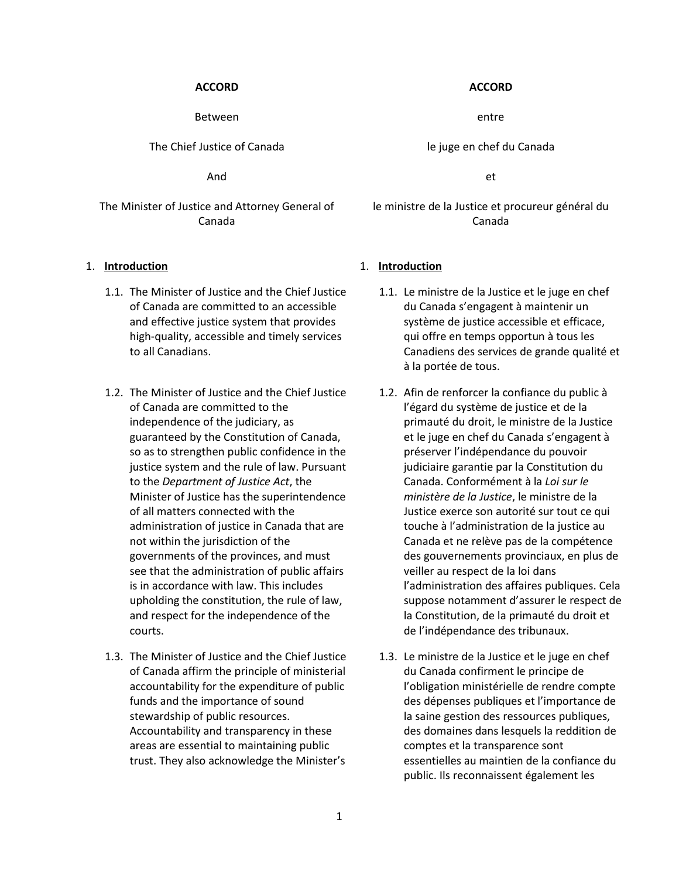### **ACCORD ACCORD**

Between entre entre deux de la position de la position de la position de la position de la position de la position de la position de la position de la position de la position de la position de la position de la position de

The Chief Justice of Canada le juge en chef du Canada

And et

The Minister of Justice and Attorney General of Canada

- 1.1. The Minister of Justice and the Chief Justice of Canada are committed to an accessible and effective justice system that provides high-quality, accessible and timely services to all Canadians.
- 1.2. The Minister of Justice and the Chief Justice of Canada are committed to the independence of the judiciary, as guaranteed by the Constitution of Canada, so as to strengthen public confidence in the justice system and the rule of law. Pursuant to the *Department of Justice Act*, the Minister of Justice has the superintendence of all matters connected with the administration of justice in Canada that are not within the jurisdiction of the governments of the provinces, and must see that the administration of public affairs is in accordance with law. This includes upholding the constitution, the rule of law, and respect for the independence of the courts.
- 1.3. The Minister of Justice and the Chief Justice of Canada affirm the principle of ministerial accountability for the expenditure of public funds and the importance of sound stewardship of public resources. Accountability and transparency in these areas are essential to maintaining public trust. They also acknowledge the Minister's

le ministre de la Justice et procureur général du Canada

### 1. **Introduction** 1. **Introduction**

- 1.1. Le ministre de la Justice et le juge en chef du Canada s'engagent à maintenir un système de justice accessible et efficace, qui offre en temps opportun à tous les Canadiens des services de grande qualité et à la portée de tous.
- 1.2. Afin de renforcer la confiance du public à l'égard du système de justice et de la primauté du droit, le ministre de la Justice et le juge en chef du Canada s'engagent à préserver l'indépendance du pouvoir judiciaire garantie par la Constitution du Canada. Conformément à la *Loi sur le ministère de la Justice*, le ministre de la Justice exerce son autorité sur tout ce qui touche à l'administration de la justice au Canada et ne relève pas de la compétence des gouvernements provinciaux, en plus de veiller au respect de la loi dans l'administration des affaires publiques. Cela suppose notamment d'assurer le respect de la Constitution, de la primauté du droit et de l'indépendance des tribunaux.
- 1.3. Le ministre de la Justice et le juge en chef du Canada confirment le principe de l'obligation ministérielle de rendre compte des dépenses publiques et l'importance de la saine gestion des ressources publiques, des domaines dans lesquels la reddition de comptes et la transparence sont essentielles au maintien de la confiance du public. Ils reconnaissent également les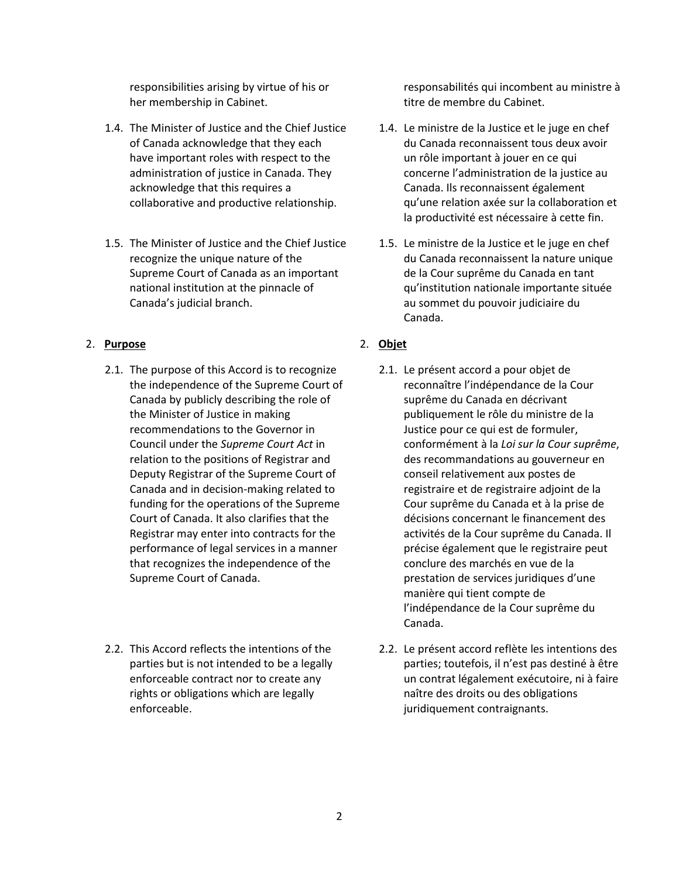responsibilities arising by virtue of his or her membership in Cabinet.

- 1.4. The Minister of Justice and the Chief Justice of Canada acknowledge that they each have important roles with respect to the administration of justice in Canada. They acknowledge that this requires a collaborative and productive relationship.
- 1.5. The Minister of Justice and the Chief Justice recognize the unique nature of the Supreme Court of Canada as an important national institution at the pinnacle of Canada's judicial branch.

## 2. **Purpose** 2. **Objet**

- 2.1. The purpose of this Accord is to recognize the independence of the Supreme Court of Canada by publicly describing the role of the Minister of Justice in making recommendations to the Governor in Council under the *Supreme Court Act* in relation to the positions of Registrar and Deputy Registrar of the Supreme Court of Canada and in decision-making related to funding for the operations of the Supreme Court of Canada. It also clarifies that the Registrar may enter into contracts for the performance of legal services in a manner that recognizes the independence of the Supreme Court of Canada.
- 2.2. This Accord reflects the intentions of the parties but is not intended to be a legally enforceable contract nor to create any rights or obligations which are legally enforceable.

responsabilités qui incombent au ministre à titre de membre du Cabinet.

- 1.4. Le ministre de la Justice et le juge en chef du Canada reconnaissent tous deux avoir un rôle important à jouer en ce qui concerne l'administration de la justice au Canada. Ils reconnaissent également qu'une relation axée sur la collaboration et la productivité est nécessaire à cette fin.
- 1.5. Le ministre de la Justice et le juge en chef du Canada reconnaissent la nature unique de la Cour suprême du Canada en tant qu'institution nationale importante située au sommet du pouvoir judiciaire du Canada.

- 2.1. Le présent accord a pour objet de reconnaître l'indépendance de la Cour suprême du Canada en décrivant publiquement le rôle du ministre de la Justice pour ce qui est de formuler, conformément à la *Loi sur la Cour suprême*, des recommandations au gouverneur en conseil relativement aux postes de registraire et de registraire adjoint de la Cour suprême du Canada et à la prise de décisions concernant le financement des activités de la Cour suprême du Canada. Il précise également que le registraire peut conclure des marchés en vue de la prestation de services juridiques d'une manière qui tient compte de l'indépendance de la Cour suprême du Canada.
- 2.2. Le présent accord reflète les intentions des parties; toutefois, il n'est pas destiné à être un contrat légalement exécutoire, ni à faire naître des droits ou des obligations juridiquement contraignants.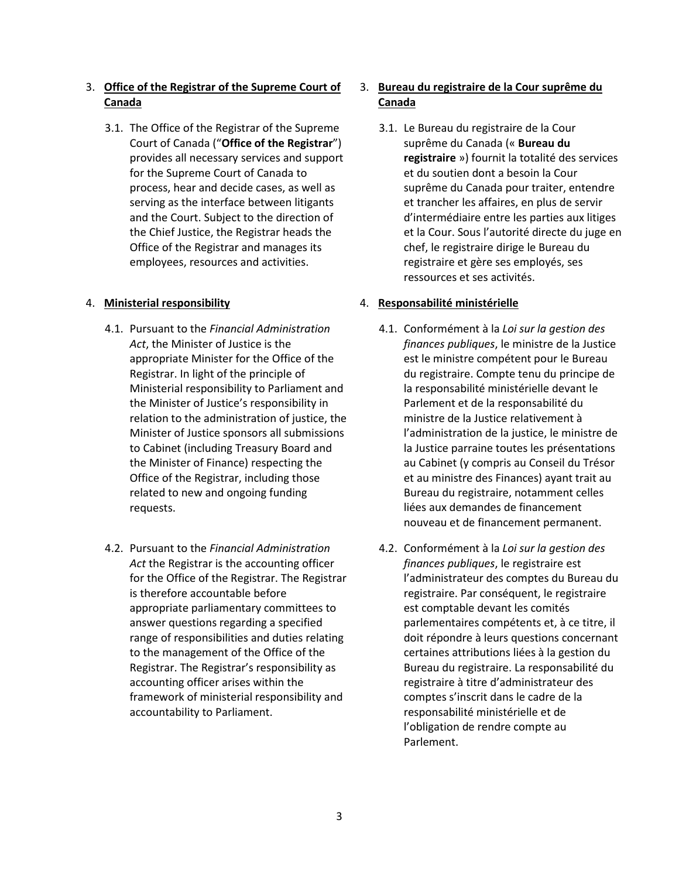# 3. **Office of the Registrar of the Supreme Court of Canada**

3.1. The Office of the Registrar of the Supreme Court of Canada ("**Office of the Registrar**") provides all necessary services and support for the Supreme Court of Canada to process, hear and decide cases, as well as serving as the interface between litigants and the Court. Subject to the direction of the Chief Justice, the Registrar heads the Office of the Registrar and manages its employees, resources and activities.

- 4.1. Pursuant to the *Financial Administration Act*, the Minister of Justice is the appropriate Minister for the Office of the Registrar. In light of the principle of Ministerial responsibility to Parliament and the Minister of Justice's responsibility in relation to the administration of justice, the Minister of Justice sponsors all submissions to Cabinet (including Treasury Board and the Minister of Finance) respecting the Office of the Registrar, including those related to new and ongoing funding requests.
- 4.2. Pursuant to the *Financial Administration Act* the Registrar is the accounting officer for the Office of the Registrar. The Registrar is therefore accountable before appropriate parliamentary committees to answer questions regarding a specified range of responsibilities and duties relating to the management of the Office of the Registrar. The Registrar's responsibility as accounting officer arises within the framework of ministerial responsibility and accountability to Parliament.

# 3. **Bureau du registraire de la Cour suprême du Canada**

3.1. Le Bureau du registraire de la Cour suprême du Canada (« **Bureau du registraire** ») fournit la totalité des services et du soutien dont a besoin la Cour suprême du Canada pour traiter, entendre et trancher les affaires, en plus de servir d'intermédiaire entre les parties aux litiges et la Cour. Sous l'autorité directe du juge en chef, le registraire dirige le Bureau du registraire et gère ses employés, ses ressources et ses activités.

## 4. **Ministerial responsibility** 4. **Responsabilité ministérielle**

- 4.1. Conformément à la *Loi sur la gestion des finances publiques*, le ministre de la Justice est le ministre compétent pour le Bureau du registraire. Compte tenu du principe de la responsabilité ministérielle devant le Parlement et de la responsabilité du ministre de la Justice relativement à l'administration de la justice, le ministre de la Justice parraine toutes les présentations au Cabinet (y compris au Conseil du Trésor et au ministre des Finances) ayant trait au Bureau du registraire, notamment celles liées aux demandes de financement nouveau et de financement permanent.
- 4.2. Conformément à la *Loi sur la gestion des finances publiques*, le registraire est l'administrateur des comptes du Bureau du registraire. Par conséquent, le registraire est comptable devant les comités parlementaires compétents et, à ce titre, il doit répondre à leurs questions concernant certaines attributions liées à la gestion du Bureau du registraire. La responsabilité du registraire à titre d'administrateur des comptes s'inscrit dans le cadre de la responsabilité ministérielle et de l'obligation de rendre compte au Parlement.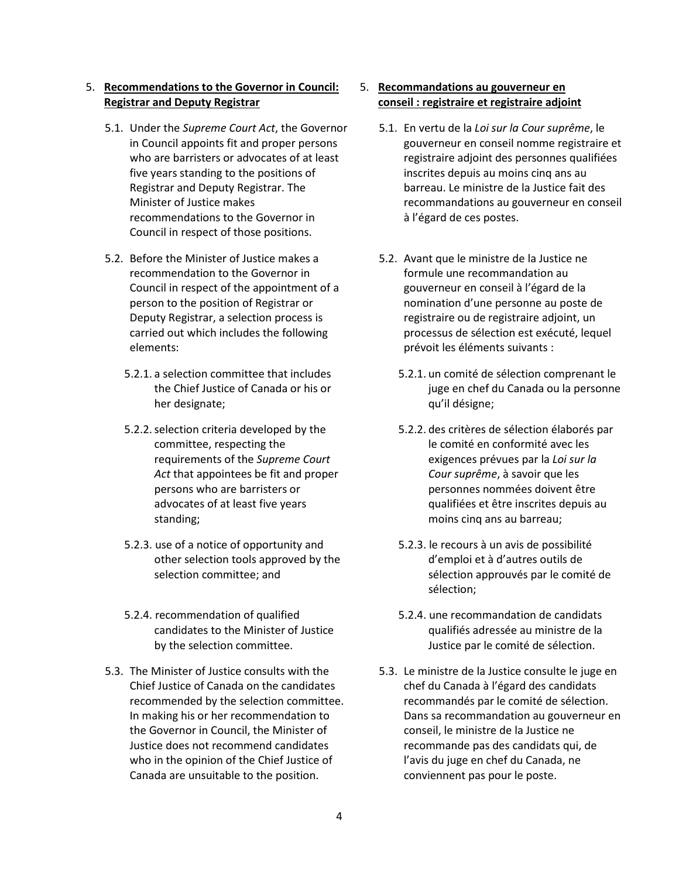## 5. **Recommendations to the Governor in Council: Registrar and Deputy Registrar**

- 5.1. Under the *Supreme Court Act*, the Governor in Council appoints fit and proper persons who are barristers or advocates of at least five years standing to the positions of Registrar and Deputy Registrar. The Minister of Justice makes recommendations to the Governor in Council in respect of those positions.
- 5.2. Before the Minister of Justice makes a recommendation to the Governor in Council in respect of the appointment of a person to the position of Registrar or Deputy Registrar, a selection process is carried out which includes the following elements:
	- 5.2.1. a selection committee that includes the Chief Justice of Canada or his or her designate;
	- 5.2.2.selection criteria developed by the committee, respecting the requirements of the *Supreme Court Act* that appointees be fit and proper persons who are barristers or advocates of at least five years standing;
	- 5.2.3. use of a notice of opportunity and other selection tools approved by the selection committee; and
	- 5.2.4. recommendation of qualified candidates to the Minister of Justice by the selection committee.
- 5.3. The Minister of Justice consults with the Chief Justice of Canada on the candidates recommended by the selection committee. In making his or her recommendation to the Governor in Council, the Minister of Justice does not recommend candidates who in the opinion of the Chief Justice of Canada are unsuitable to the position.

## 5. **Recommandations au gouverneur en conseil : registraire et registraire adjoint**

- 5.1. En vertu de la *Loi sur la Cour suprême*, le gouverneur en conseil nomme registraire et registraire adjoint des personnes qualifiées inscrites depuis au moins cinq ans au barreau. Le ministre de la Justice fait des recommandations au gouverneur en conseil à l'égard de ces postes.
- 5.2. Avant que le ministre de la Justice ne formule une recommandation au gouverneur en conseil à l'égard de la nomination d'une personne au poste de registraire ou de registraire adjoint, un processus de sélection est exécuté, lequel prévoit les éléments suivants :
	- 5.2.1. un comité de sélection comprenant le juge en chef du Canada ou la personne qu'il désigne;
	- 5.2.2. des critères de sélection élaborés par le comité en conformité avec les exigences prévues par la *Loi sur la Cour suprême*, à savoir que les personnes nommées doivent être qualifiées et être inscrites depuis au moins cinq ans au barreau;
	- 5.2.3. le recours à un avis de possibilité d'emploi et à d'autres outils de sélection approuvés par le comité de sélection;
	- 5.2.4. une recommandation de candidats qualifiés adressée au ministre de la Justice par le comité de sélection.
- 5.3. Le ministre de la Justice consulte le juge en chef du Canada à l'égard des candidats recommandés par le comité de sélection. Dans sa recommandation au gouverneur en conseil, le ministre de la Justice ne recommande pas des candidats qui, de l'avis du juge en chef du Canada, ne conviennent pas pour le poste.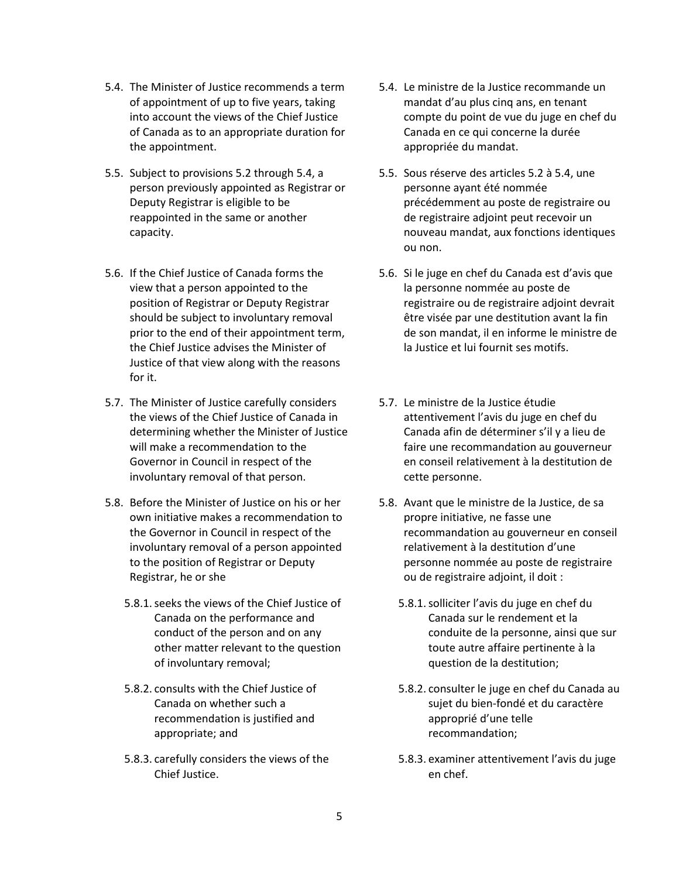- 5.4. The Minister of Justice recommends a term of appointment of up to five years, taking into account the views of the Chief Justice of Canada as to an appropriate duration for the appointment.
- 5.5. Subject to provisions 5.2 through 5.4, a person previously appointed as Registrar or Deputy Registrar is eligible to be reappointed in the same or another capacity.
- 5.6. If the Chief Justice of Canada forms the view that a person appointed to the position of Registrar or Deputy Registrar should be subject to involuntary removal prior to the end of their appointment term, the Chief Justice advises the Minister of Justice of that view along with the reasons for it.
- 5.7. The Minister of Justice carefully considers the views of the Chief Justice of Canada in determining whether the Minister of Justice will make a recommendation to the Governor in Council in respect of the involuntary removal of that person.
- 5.8. Before the Minister of Justice on his or her own initiative makes a recommendation to the Governor in Council in respect of the involuntary removal of a person appointed to the position of Registrar or Deputy Registrar, he or she
	- 5.8.1.seeks the views of the Chief Justice of Canada on the performance and conduct of the person and on any other matter relevant to the question of involuntary removal;
	- 5.8.2. consults with the Chief Justice of Canada on whether such a recommendation is justified and appropriate; and
	- 5.8.3. carefully considers the views of the Chief Justice.
- 5.4. Le ministre de la Justice recommande un mandat d'au plus cinq ans, en tenant compte du point de vue du juge en chef du Canada en ce qui concerne la durée appropriée du mandat.
- 5.5. Sous réserve des articles 5.2 à 5.4, une personne ayant été nommée précédemment au poste de registraire ou de registraire adjoint peut recevoir un nouveau mandat, aux fonctions identiques ou non.
- 5.6. Si le juge en chef du Canada est d'avis que la personne nommée au poste de registraire ou de registraire adjoint devrait être visée par une destitution avant la fin de son mandat, il en informe le ministre de la Justice et lui fournit ses motifs.
- 5.7. Le ministre de la Justice étudie attentivement l'avis du juge en chef du Canada afin de déterminer s'il y a lieu de faire une recommandation au gouverneur en conseil relativement à la destitution de cette personne.
- 5.8. Avant que le ministre de la Justice, de sa propre initiative, ne fasse une recommandation au gouverneur en conseil relativement à la destitution d'une personne nommée au poste de registraire ou de registraire adjoint, il doit :
	- 5.8.1.solliciter l'avis du juge en chef du Canada sur le rendement et la conduite de la personne, ainsi que sur toute autre affaire pertinente à la question de la destitution;
	- 5.8.2. consulter le juge en chef du Canada au sujet du bien-fondé et du caractère approprié d'une telle recommandation;
	- 5.8.3. examiner attentivement l'avis du juge en chef.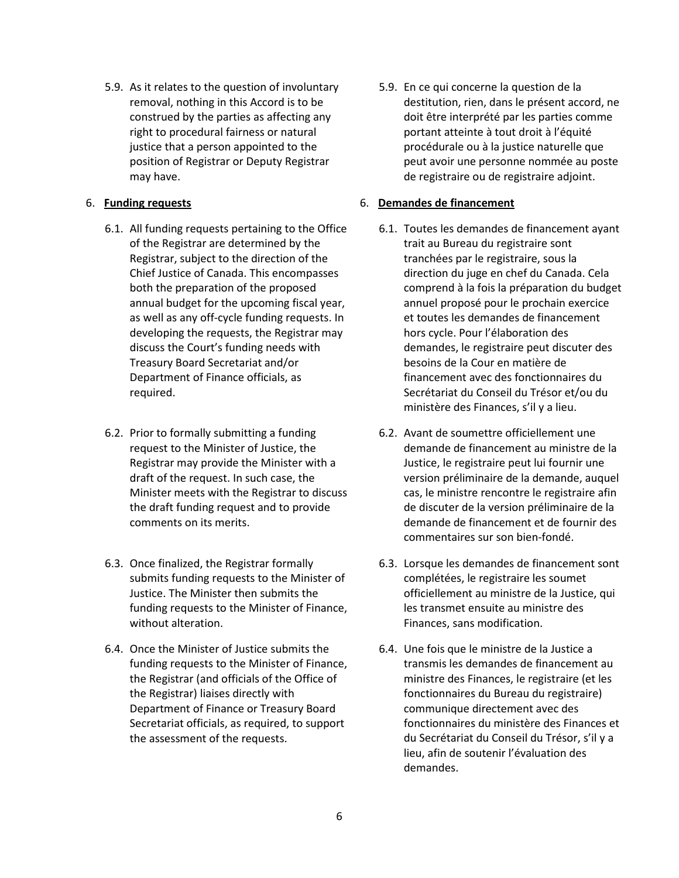5.9. As it relates to the question of involuntary removal, nothing in this Accord is to be construed by the parties as affecting any right to procedural fairness or natural justice that a person appointed to the position of Registrar or Deputy Registrar may have.

- 6.1. All funding requests pertaining to the Office of the Registrar are determined by the Registrar, subject to the direction of the Chief Justice of Canada. This encompasses both the preparation of the proposed annual budget for the upcoming fiscal year, as well as any off-cycle funding requests. In developing the requests, the Registrar may discuss the Court's funding needs with Treasury Board Secretariat and/or Department of Finance officials, as required.
- 6.2. Prior to formally submitting a funding request to the Minister of Justice, the Registrar may provide the Minister with a draft of the request. In such case, the Minister meets with the Registrar to discuss the draft funding request and to provide comments on its merits.
- 6.3. Once finalized, the Registrar formally submits funding requests to the Minister of Justice. The Minister then submits the funding requests to the Minister of Finance, without alteration.
- 6.4. Once the Minister of Justice submits the funding requests to the Minister of Finance, the Registrar (and officials of the Office of the Registrar) liaises directly with Department of Finance or Treasury Board Secretariat officials, as required, to support the assessment of the requests.

5.9. En ce qui concerne la question de la destitution, rien, dans le présent accord, ne doit être interprété par les parties comme portant atteinte à tout droit à l'équité procédurale ou à la justice naturelle que peut avoir une personne nommée au poste de registraire ou de registraire adjoint.

## 6. **Funding requests** 6. **Demandes de financement**

- 6.1. Toutes les demandes de financement ayant trait au Bureau du registraire sont tranchées par le registraire, sous la direction du juge en chef du Canada. Cela comprend à la fois la préparation du budget annuel proposé pour le prochain exercice et toutes les demandes de financement hors cycle. Pour l'élaboration des demandes, le registraire peut discuter des besoins de la Cour en matière de financement avec des fonctionnaires du Secrétariat du Conseil du Trésor et/ou du ministère des Finances, s'il y a lieu.
- 6.2. Avant de soumettre officiellement une demande de financement au ministre de la Justice, le registraire peut lui fournir une version préliminaire de la demande, auquel cas, le ministre rencontre le registraire afin de discuter de la version préliminaire de la demande de financement et de fournir des commentaires sur son bien-fondé.
- 6.3. Lorsque les demandes de financement sont complétées, le registraire les soumet officiellement au ministre de la Justice, qui les transmet ensuite au ministre des Finances, sans modification.
- 6.4. Une fois que le ministre de la Justice a transmis les demandes de financement au ministre des Finances, le registraire (et les fonctionnaires du Bureau du registraire) communique directement avec des fonctionnaires du ministère des Finances et du Secrétariat du Conseil du Trésor, s'il y a lieu, afin de soutenir l'évaluation des demandes.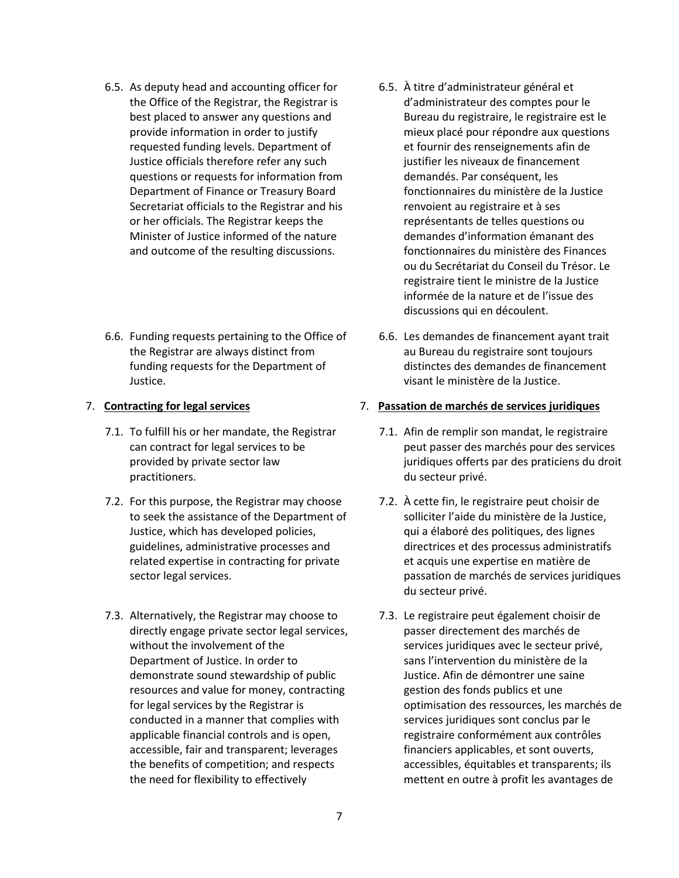- 6.5. As deputy head and accounting officer for the Office of the Registrar, the Registrar is best placed to answer any questions and provide information in order to justify requested funding levels. Department of Justice officials therefore refer any such questions or requests for information from Department of Finance or Treasury Board Secretariat officials to the Registrar and his or her officials. The Registrar keeps the Minister of Justice informed of the nature and outcome of the resulting discussions.
- 6.6. Funding requests pertaining to the Office of the Registrar are always distinct from funding requests for the Department of Justice.

- 7.1. To fulfill his or her mandate, the Registrar can contract for legal services to be provided by private sector law practitioners.
- 7.2. For this purpose, the Registrar may choose to seek the assistance of the Department of Justice, which has developed policies, guidelines, administrative processes and related expertise in contracting for private sector legal services.
- 7.3. Alternatively, the Registrar may choose to directly engage private sector legal services, without the involvement of the Department of Justice. In order to demonstrate sound stewardship of public resources and value for money, contracting for legal services by the Registrar is conducted in a manner that complies with applicable financial controls and is open, accessible, fair and transparent; leverages the benefits of competition; and respects the need for flexibility to effectively
- 6.5. À titre d'administrateur général et d'administrateur des comptes pour le Bureau du registraire, le registraire est le mieux placé pour répondre aux questions et fournir des renseignements afin de justifier les niveaux de financement demandés. Par conséquent, les fonctionnaires du ministère de la Justice renvoient au registraire et à ses représentants de telles questions ou demandes d'information émanant des fonctionnaires du ministère des Finances ou du Secrétariat du Conseil du Trésor. Le registraire tient le ministre de la Justice informée de la nature et de l'issue des discussions qui en découlent.
- 6.6. Les demandes de financement ayant trait au Bureau du registraire sont toujours distinctes des demandes de financement visant le ministère de la Justice.

### 7. **Contracting for legal services** 7. **Passation de marchés de services juridiques**

- 7.1. Afin de remplir son mandat, le registraire peut passer des marchés pour des services juridiques offerts par des praticiens du droit du secteur privé.
- 7.2. À cette fin, le registraire peut choisir de solliciter l'aide du ministère de la Justice, qui a élaboré des politiques, des lignes directrices et des processus administratifs et acquis une expertise en matière de passation de marchés de services juridiques du secteur privé.
- 7.3. Le registraire peut également choisir de passer directement des marchés de services juridiques avec le secteur privé, sans l'intervention du ministère de la Justice. Afin de démontrer une saine gestion des fonds publics et une optimisation des ressources, les marchés de services juridiques sont conclus par le registraire conformément aux contrôles financiers applicables, et sont ouverts, accessibles, équitables et transparents; ils mettent en outre à profit les avantages de